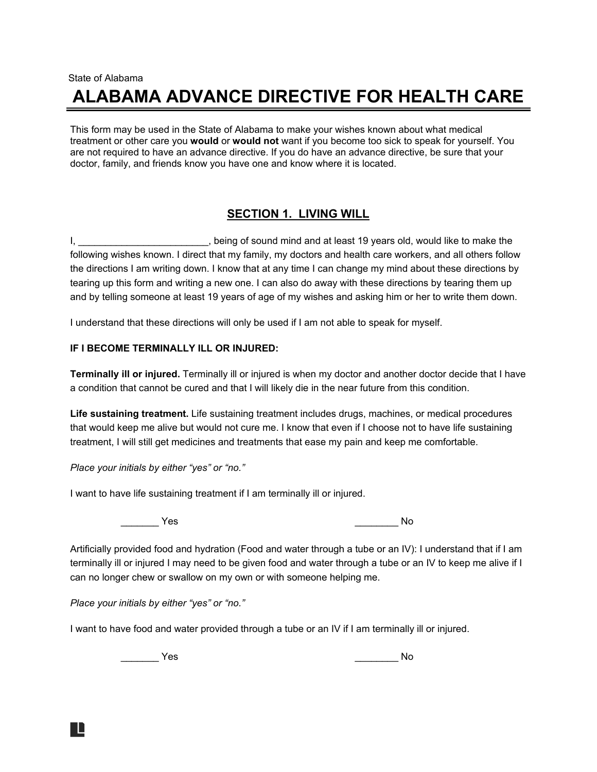# State of Alabama **ALABAMA ADVANCE DIRECTIVE FOR HEALTH CARE**

This form may be used in the State of Alabama to make your wishes known about what medical treatment or other care you **would** or **would not** want if you become too sick to speak for yourself. You are not required to have an advance directive. If you do have an advance directive, be sure that your doctor, family, and friends know you have one and know where it is located.

### **SECTION 1. LIVING WILL**

I, Letter Library being of sound mind and at least 19 years old, would like to make the following wishes known. I direct that my family, my doctors and health care workers, and all others follow the directions I am writing down. I know that at any time I can change my mind about these directions by tearing up this form and writing a new one. I can also do away with these directions by tearing them up and by telling someone at least 19 years of age of my wishes and asking him or her to write them down.

I understand that these directions will only be used if I am not able to speak for myself.

#### **IF I BECOME TERMINALLY ILL OR INJURED:**

**Terminally ill or injured.** Terminally ill or injured is when my doctor and another doctor decide that I have a condition that cannot be cured and that I will likely die in the near future from this condition.

**Life sustaining treatment.** Life sustaining treatment includes drugs, machines, or medical procedures that would keep me alive but would not cure me. I know that even if I choose not to have life sustaining treatment, I will still get medicines and treatments that ease my pain and keep me comfortable.

*Place your initials by either "yes" or "no."*

I want to have life sustaining treatment if I am terminally ill or injured.

 $Yes$  and  $Nos$ 

Artificially provided food and hydration (Food and water through a tube or an IV): I understand that if I am terminally ill or injured I may need to be given food and water through a tube or an IV to keep me alive if I can no longer chew or swallow on my own or with someone helping me.

*Place your initials by either "yes" or "no."*

I want to have food and water provided through a tube or an IV if I am terminally ill or injured.

\_\_\_\_\_\_\_ Yes \_\_\_\_\_\_\_\_ No

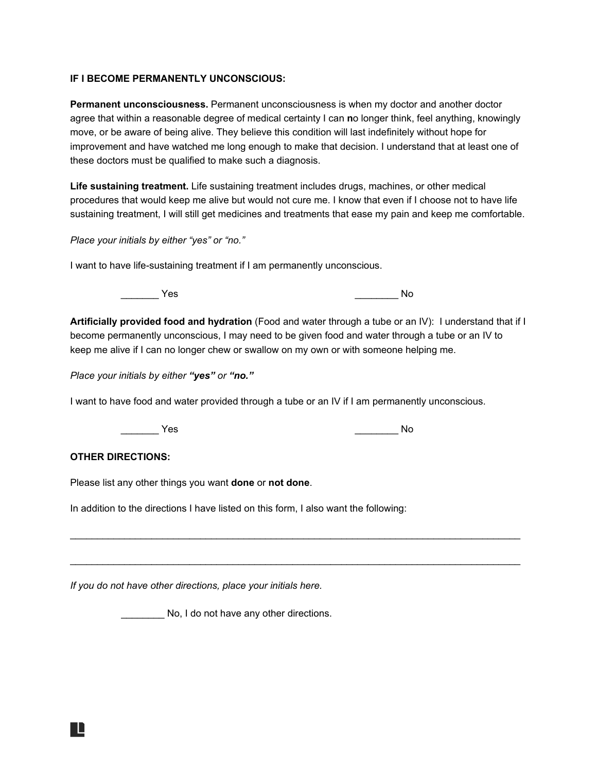#### **IF I BECOME PERMANENTLY UNCONSCIOUS:**

**Permanent unconsciousness.** Permanent unconsciousness is when my doctor and another doctor agree that within a reasonable degree of medical certainty I can **n**o longer think, feel anything, knowingly move, or be aware of being alive. They believe this condition will last indefinitely without hope for improvement and have watched me long enough to make that decision. I understand that at least one of these doctors must be qualified to make such a diagnosis.

**Life sustaining treatment.** Life sustaining treatment includes drugs, machines, or other medical procedures that would keep me alive but would not cure me. I know that even if I choose not to have life sustaining treatment, I will still get medicines and treatments that ease my pain and keep me comfortable.

*Place your initials by either "yes" or "no."*

I want to have life-sustaining treatment if I am permanently unconscious.

 $Yes$  and  $\Box$ 

**Artificially provided food and hydration** (Food and water through a tube or an IV): I understand that if I become permanently unconscious, I may need to be given food and water through a tube or an IV to keep me alive if I can no longer chew or swallow on my own or with someone helping me.

\_\_\_\_\_\_\_\_\_\_\_\_\_\_\_\_\_\_\_\_\_\_\_\_\_\_\_\_\_\_\_\_\_\_\_\_\_\_\_\_\_\_\_\_\_\_\_\_\_\_\_\_\_\_\_\_\_\_\_\_\_\_\_\_\_\_\_\_\_\_\_\_\_\_\_\_\_\_\_\_\_\_\_

\_\_\_\_\_\_\_\_\_\_\_\_\_\_\_\_\_\_\_\_\_\_\_\_\_\_\_\_\_\_\_\_\_\_\_\_\_\_\_\_\_\_\_\_\_\_\_\_\_\_\_\_\_\_\_\_\_\_\_\_\_\_\_\_\_\_\_\_\_\_\_\_\_\_\_\_\_\_\_\_\_\_\_

*Place your initials by either "yes" or "no."*

I want to have food and water provided through a tube or an IV if I am permanently unconscious.

\_\_\_\_\_\_\_ Yes \_\_\_\_\_\_\_\_ No

#### **OTHER DIRECTIONS:**

W

Please list any other things you want **done** or **not done**.

In addition to the directions I have listed on this form, I also want the following:

*If you do not have other directions, place your initials here.*

No, I do not have any other directions.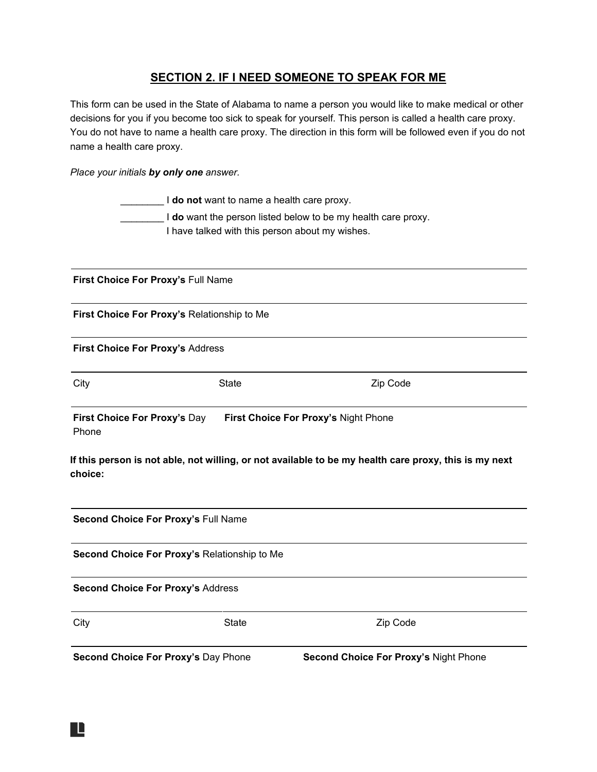### **SECTION 2. IF I NEED SOMEONE TO SPEAK FOR ME**

This form can be used in the State of Alabama to name a person you would like to make medical or other decisions for you if you become too sick to speak for yourself. This person is called a health care proxy. You do not have to name a health care proxy. The direction in this form will be followed even if you do not name a health care proxy.

*Place your initials by only one answer.*

\_\_\_\_\_\_\_\_ I **do not** want to name a health care proxy. I **do** want the person listed below to be my health care proxy. I have talked with this person about my wishes.

**First Choice For Proxy's** Full Name

**First Choice For Proxy's** Relationship to Me

#### **First Choice For Proxy's** Address

| City | State<br>------ | Zip Code |
|------|-----------------|----------|
|      |                 |          |

**First Choice For Proxy's** Day Phone **First Choice For Proxy's** Night Phone

**If this person is not able, not willing, or not available to be my health care proxy, this is my next choice:**

**Second Choice For Proxy's** Full Name

**Second Choice For Proxy's** Relationship to Me

**Second Choice For Proxy's** Address

City **State 2ip Code** State 2ip Code

**Second Choice For Proxy's** Day Phone **Second Choice For Proxy's** Night Phone

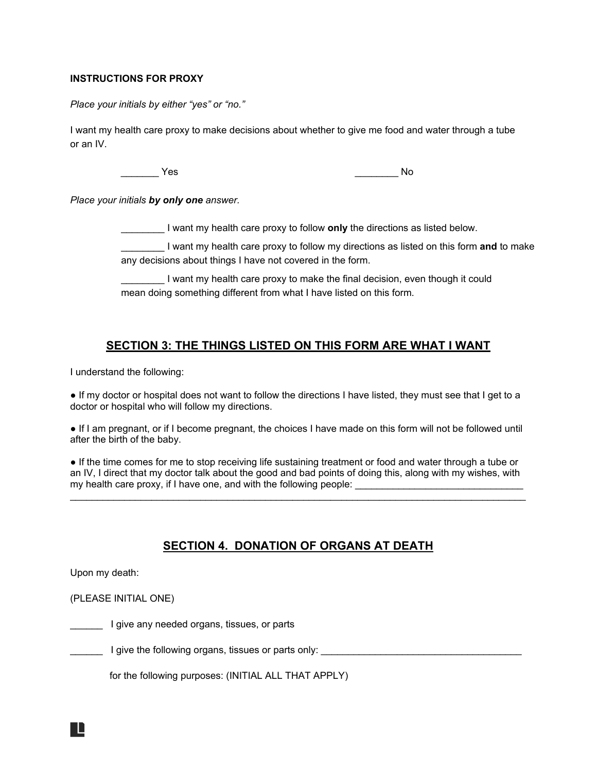#### **INSTRUCTIONS FOR PROXY**

*Place your initials by either "yes" or "no."*

I want my health care proxy to make decisions about whether to give me food and water through a tube or an IV.

\_\_\_\_\_\_\_ Yes \_\_\_\_\_\_\_\_ No

*Place your initials by only one answer.*

I want my health care proxy to follow **only** the directions as listed below.

\_\_\_\_\_\_\_\_ I want my health care proxy to follow my directions as listed on this form **and** to make any decisions about things I have not covered in the form.

\_\_\_\_\_\_\_\_ I want my health care proxy to make the final decision, even though it could mean doing something different from what I have listed on this form.

### **SECTION 3: THE THINGS LISTED ON THIS FORM ARE WHAT I WANT**

I understand the following:

**●** If my doctor or hospital does not want to follow the directions I have listed, they must see that I get to a doctor or hospital who will follow my directions.

**●** If I am pregnant, or if I become pregnant, the choices I have made on this form will not be followed until after the birth of the baby.

**●** If the time comes for me to stop receiving life sustaining treatment or food and water through a tube or an IV, I direct that my doctor talk about the good and bad points of doing this, along with my wishes, with my health care proxy, if I have one, and with the following people:

\_\_\_\_\_\_\_\_\_\_\_\_\_\_\_\_\_\_\_\_\_\_\_\_\_\_\_\_\_\_\_\_\_\_\_\_\_\_\_\_\_\_\_\_\_\_\_\_\_\_\_\_\_\_\_\_\_\_\_\_\_\_\_\_\_\_\_\_\_\_\_\_\_\_\_\_\_\_\_\_\_\_\_\_

### **SECTION 4. DONATION OF ORGANS AT DEATH**

Upon my death:

W

(PLEASE INITIAL ONE)

\_\_\_\_\_\_ I give any needed organs, tissues, or parts

Ligive the following organs, tissues or parts only: \_\_\_\_\_\_\_\_\_\_\_\_\_\_\_\_\_\_\_\_\_\_\_\_\_\_\_\_

for the following purposes: (INITIAL ALL THAT APPLY)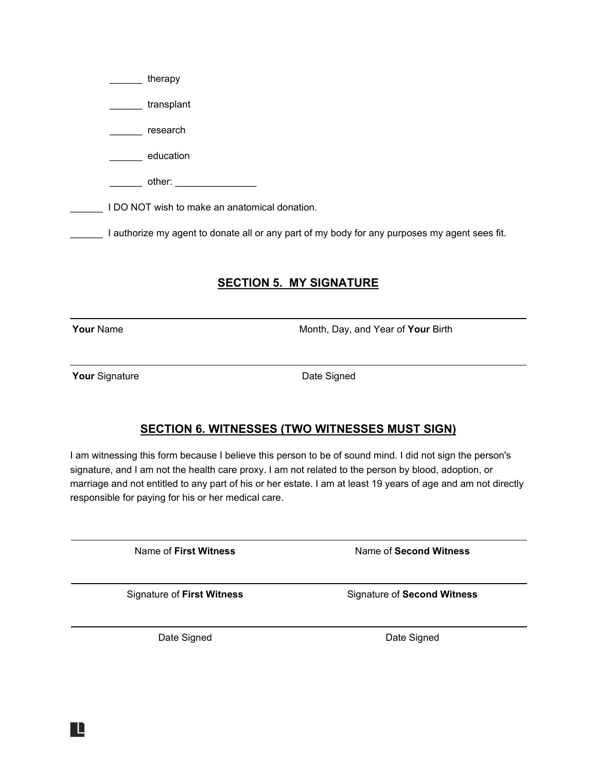| therapy                                                                                       |
|-----------------------------------------------------------------------------------------------|
| transplant                                                                                    |
| research                                                                                      |
| education                                                                                     |
| other:                                                                                        |
| I DO NOT wish to make an anatomical donation.                                                 |
| I authorize my agent to donate all or any part of my body for any purposes my agent sees fit. |

### **SECTION 5. MY SIGNATURE**

**Your** Name **Ware** Month, Day, and Year of **Your** Birth

**Your** Signature Date Signed

L

## **SECTION 6. WITNESSES (TWO WITNESSES MUST SIGN)**

I am witnessing this form because I believe this person to be of sound mind. I did not sign the person's signature, and I am not the health care proxy. I am not related to the person by blood, adoption, or marriage and not entitled to any part of his or her estate. I am at least 19 years of age and am not directly responsible for paying for his or her medical care.

| Name of First Witness      | Name of Second Witness             |
|----------------------------|------------------------------------|
| Signature of First Witness | <b>Signature of Second Witness</b> |
| Date Signed                | Date Signed                        |